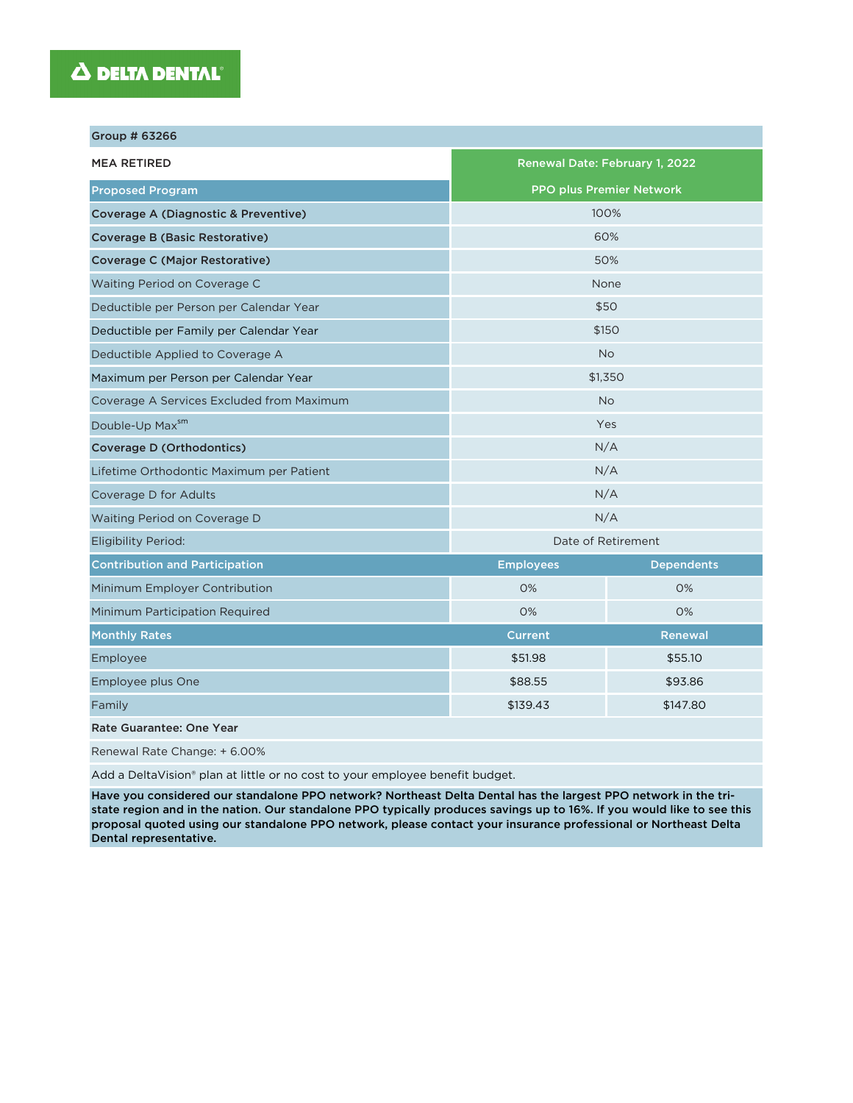## **A DELTA DENTAL**®

| Group # 63266                             |                                 |                   |  |  |
|-------------------------------------------|---------------------------------|-------------------|--|--|
| <b>MEA RETIRED</b>                        | Renewal Date: February 1, 2022  |                   |  |  |
| <b>Proposed Program</b>                   | <b>PPO plus Premier Network</b> |                   |  |  |
| Coverage A (Diagnostic & Preventive)      | 100%                            |                   |  |  |
| <b>Coverage B (Basic Restorative)</b>     | 60%                             |                   |  |  |
| Coverage C (Major Restorative)            | 50%                             |                   |  |  |
| Waiting Period on Coverage C              | None                            |                   |  |  |
| Deductible per Person per Calendar Year   | \$50                            |                   |  |  |
| Deductible per Family per Calendar Year   | \$150                           |                   |  |  |
| Deductible Applied to Coverage A          | <b>No</b>                       |                   |  |  |
| Maximum per Person per Calendar Year      | \$1,350                         |                   |  |  |
| Coverage A Services Excluded from Maximum | <b>No</b>                       |                   |  |  |
| Double-Up Maxsm                           | Yes                             |                   |  |  |
| <b>Coverage D (Orthodontics)</b>          | N/A                             |                   |  |  |
| Lifetime Orthodontic Maximum per Patient  | N/A                             |                   |  |  |
| Coverage D for Adults                     | N/A                             |                   |  |  |
| Waiting Period on Coverage D              | N/A                             |                   |  |  |
| <b>Eligibility Period:</b>                | Date of Retirement              |                   |  |  |
| <b>Contribution and Participation</b>     | <b>Employees</b>                | <b>Dependents</b> |  |  |
| Minimum Employer Contribution             | 0%                              | 0%                |  |  |
| Minimum Participation Required            | 0%<br>0%                        |                   |  |  |
| <b>Monthly Rates</b>                      | <b>Current</b>                  | <b>Renewal</b>    |  |  |
| Employee                                  | \$51.98                         | \$55.10           |  |  |
| Employee plus One                         | \$88.55<br>\$93.86              |                   |  |  |
| Family                                    | \$139.43<br>\$147.80            |                   |  |  |
| Rate Guarantee: One Year                  |                                 |                   |  |  |
| Renewal Rate Change: + 6.00%              |                                 |                   |  |  |

Add a DeltaVision® plan at little or no cost to your employee benefit budget.

Have you considered our standalone PPO network? Northeast Delta Dental has the largest PPO network in the tristate region and in the nation. Our standalone PPO typically produces savings up to 16%. If you would like to see this proposal quoted using our standalone PPO network, please contact your insurance professional or Northeast Delta Dental representative.